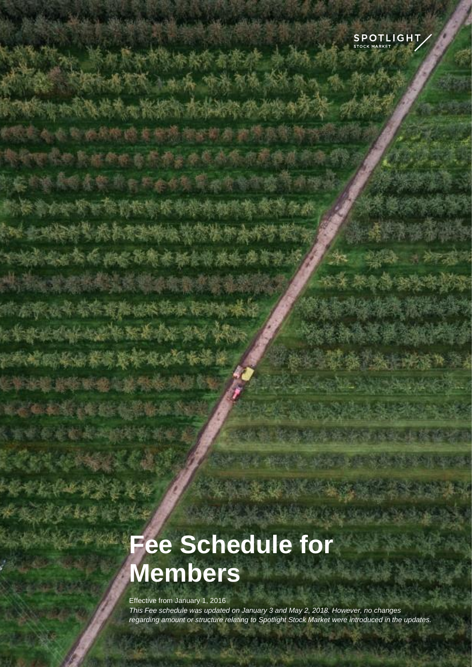

# **Fee Schedule for Members**

Effective from January 1, 2016 *This Fee schedule was updated on January 3 and May 2, 2018. However, no changes regarding amount or structure relating to Spotlight Stock Market were introduced in the updates.*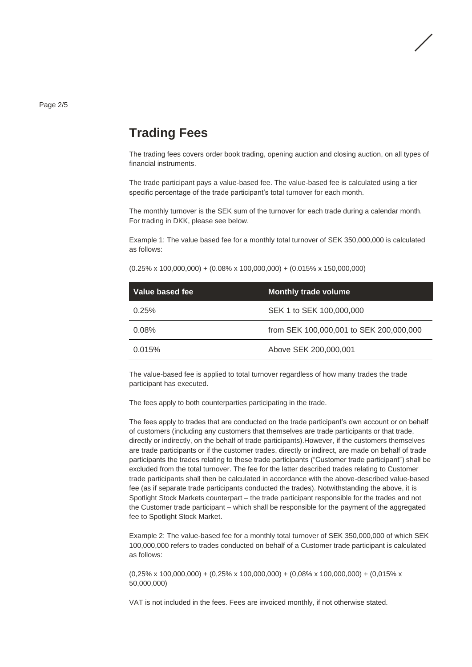Page 2/5

#### **Trading Fees**

The trading fees covers order book trading, opening auction and closing auction, on all types of financial instruments.

The trade participant pays a value-based fee. The value-based fee is calculated using a tier specific percentage of the trade participant's total turnover for each month.

The monthly turnover is the SEK sum of the turnover for each trade during a calendar month. For trading in DKK, please see below.

Example 1: The value based fee for a monthly total turnover of SEK 350,000,000 is calculated as follows:

| Value based fee | <b>Monthly trade volume</b>             |
|-----------------|-----------------------------------------|
| 0.25%           | SEK 1 to SEK 100,000,000                |
| $0.08\%$        | from SEK 100,000,001 to SEK 200,000,000 |
| 0.015%          | Above SEK 200,000,001                   |

The value-based fee is applied to total turnover regardless of how many trades the trade participant has executed.

The fees apply to both counterparties participating in the trade.

The fees apply to trades that are conducted on the trade participant's own account or on behalf of customers (including any customers that themselves are trade participants or that trade, directly or indirectly, on the behalf of trade participants).However, if the customers themselves are trade participants or if the customer trades, directly or indirect, are made on behalf of trade participants the trades relating to these trade participants ("Customer trade participant") shall be excluded from the total turnover. The fee for the latter described trades relating to Customer trade participants shall then be calculated in accordance with the above-described value-based fee (as if separate trade participants conducted the trades). Notwithstanding the above, it is Spotlight Stock Markets counterpart – the trade participant responsible for the trades and not the Customer trade participant – which shall be responsible for the payment of the aggregated fee to Spotlight Stock Market.

Example 2: The value-based fee for a monthly total turnover of SEK 350,000,000 of which SEK 100,000,000 refers to trades conducted on behalf of a Customer trade participant is calculated as follows:

 $(0,25\% \times 100,000,000) + (0,25\% \times 100,000,000) + (0,08\% \times 100,000,000) + (0,015\% \times 100,000)$ 50,000,000)

VAT is not included in the fees. Fees are invoiced monthly, if not otherwise stated.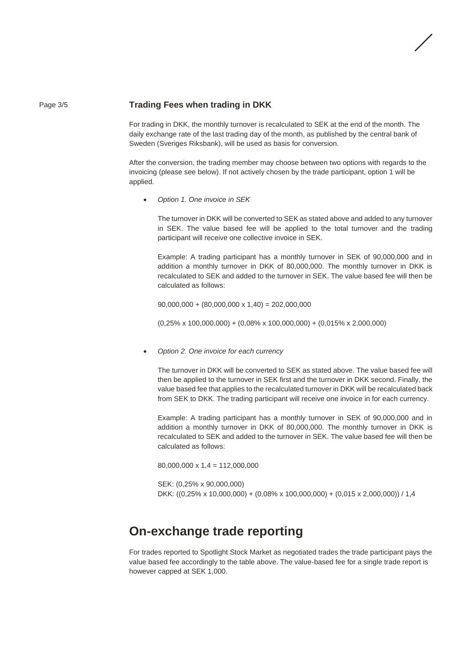#### Page 3/5 **Trading Fees when trading in DKK**

For trading in DKK, the monthly turnover is recalculated to SEK at the end of the month. The daily exchange rate of the last trading day of the month, as published by the central bank of Sweden (Sveriges Riksbank), will be used as basis for conversion.

After the conversion, the trading member may choose between two options with regards to the invoicing (please see below). If not actively chosen by the trade participant, option 1 will be applied.

• *Option 1. One invoice in SEK*

The turnover in DKK will be converted to SEK as stated above and added to any turnover in SEK. The value based fee will be applied to the total turnover and the trading participant will receive one collective invoice in SEK.

Example: A trading participant has a monthly turnover in SEK of 90,000,000 and in addition a monthly turnover in DKK of 80,000,000. The monthly turnover in DKK is recalculated to SEK and added to the turnover in SEK. The value based fee will then be calculated as follows:

 $90,000,000 + (80,000,000 \times 1,40) = 202,000,000$ 

(0,25% x 100,000,000) + (0,08% x 100,000,000) + (0,015% x 2,000,000)

• *Option 2. One invoice for each currency*

The turnover in DKK will be converted to SEK as stated above. The value based fee will then be applied to the turnover in SEK first and the turnover in DKK second. Finally, the value based fee that applies to the recalculated turnover in DKK will be recalculated back from SEK to DKK. The trading participant will receive one invoice in for each currency.

Example: A trading participant has a monthly turnover in SEK of 90,000,000 and in addition a monthly turnover in DKK of 80,000,000. The monthly turnover in DKK is recalculated to SEK and added to the turnover in SEK. The value based fee will then be calculated as follows:

80,000,000 x 1,4 = 112,000,000

SEK: (0,25% x 90,000,000) DKK: ((0,25% x 10,000,000) + (0,08% x 100,000,000) + (0,015 x 2,000,000)) / 1,4

### **On-exchange trade reporting**

For trades reported to Spotlight Stock Market as negotiated trades the trade participant pays the value based fee accordingly to the table above. The value-based fee for a single trade report is however capped at SEK 1,000.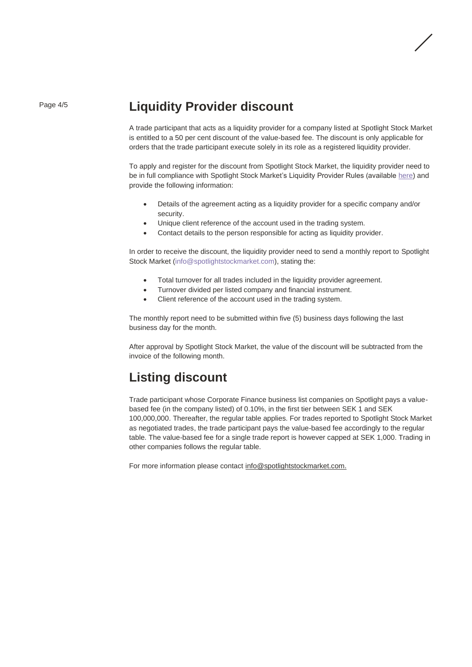#### Page 4/5 **Liquidity Provider discount**

A trade participant that acts as a liquidity provider for a company listed at Spotlight Stock Market is entitled to a 50 per cent discount of the value-based fee. The discount is only applicable for orders that the trade participant execute solely in its role as a registered liquidity provider.

To apply and register for the discount from Spotlight Stock Market, the liquidity provider need to be in full compliance with Spotlight Stock Market's Liquidity Provider Rules (availabl[e here\)](https://www.spotlightstockmarket.com/en/members/regulations-and-price-list/) and provide the following information:

- Details of the agreement acting as a liquidity provider for a specific company and/or security.
- Unique client reference of the account used in the trading system.
- Contact details to the person responsible for acting as liquidity provider.

In order to receive the discount, the liquidity provider need to send a monthly report to Spotlight Stock Market (info@spotlightstockmarket.com), stating the:

- Total turnover for all trades included in the liquidity provider agreement.
- Turnover divided per listed company and financial instrument.
- Client reference of the account used in the trading system.

The monthly report need to be submitted within five (5) business days following the last business day for the month.

After approval by Spotlight Stock Market, the value of the discount will be subtracted from the invoice of the following month.

## **Listing discount**

Trade participant whose Corporate Finance business list companies on Spotlight pays a valuebased fee (in the company listed) of 0.10%, in the first tier between SEK 1 and SEK 100,000,000. Thereafter, the regular table applies. For trades reported to Spotlight Stock Market as negotiated trades, the trade participant pays the value-based fee accordingly to the regular table. The value-based fee for a single trade report is however capped at SEK 1,000. Trading in other companies follows the regular table.

For more information please contact [info@spotlightstockmarket.com.](mailto:info@spotlightstockmarket.com)